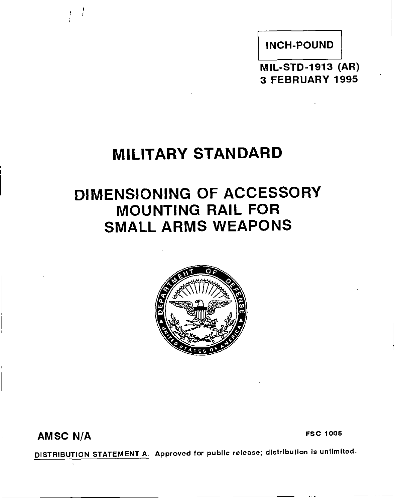**INCH-POUND** 

I

**MIL-STD-1913 (AR) 3 FEBRUARY 1995**

**1**

# **MILITARY STANDARD**

# **DIMENSIONING OF ACCESSORY MOUNTING RAIL FOR SMALL ARMS WEAPONS**



**AMSC N/A** FSC 1005

DISTRIBUTION STATEMENT A. Approved for public release; distribution is unilmited.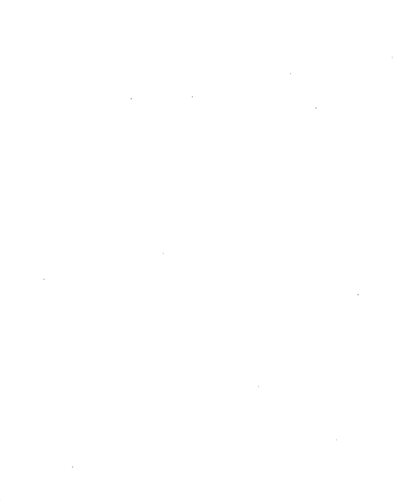$\mathcal{L}^{\mathcal{L}}(\mathcal{L}^{\mathcal{L}})$  and  $\mathcal{L}^{\mathcal{L}}(\mathcal{L}^{\mathcal{L}})$  and  $\mathcal{L}^{\mathcal{L}}(\mathcal{L}^{\mathcal{L}})$  $\mathcal{L}(\mathcal{L}(\mathcal{L}))$  and the contribution of the contribution of the contribution of  $\mathcal{L}(\mathcal{L})$  $\label{eq:2.1} \frac{1}{\sqrt{2\pi}}\int_{0}^{\infty}\frac{1}{\sqrt{2\pi}}\left(\frac{1}{\sqrt{2\pi}}\right)^{2\alpha}e^{-\frac{1}{2\alpha}}\left(\frac{1}{\sqrt{2\pi}}\right)^{\alpha}e^{-\frac{1}{2\alpha}}\left(\frac{1}{\sqrt{2\pi}}\right)^{\alpha}e^{-\frac{1}{2\alpha}}\left(\frac{1}{\sqrt{2\pi}}\right)^{\alpha}e^{-\frac{1}{2\alpha}}\left(\frac{1}{\sqrt{2\pi}}\right)^{\alpha}e^{-\frac{1}{2\alpha}}\left(\frac{1}{\sqrt{2\pi}}\right)^{\alpha}e$  $\mathcal{L}(\mathcal{A})$  and  $\mathcal{L}(\mathcal{A})$  $\label{eq:2.1} \mathcal{L}(\mathcal{L}^{\mathcal{L}}_{\mathcal{L}}(\mathcal{L}^{\mathcal{L}}_{\mathcal{L}})) = \mathcal{L}(\mathcal{L}^{\mathcal{L}}_{\mathcal{L}}(\mathcal{L}^{\mathcal{L}}_{\mathcal{L}})) = \mathcal{L}(\mathcal{L}^{\mathcal{L}}_{\mathcal{L}}(\mathcal{L}^{\mathcal{L}}_{\mathcal{L}}))$  $\label{eq:2.1} \frac{1}{\sqrt{2}}\int_{\mathbb{R}^3}\frac{1}{\sqrt{2}}\left(\frac{1}{\sqrt{2}}\right)^2\left(\frac{1}{\sqrt{2}}\right)^2\left(\frac{1}{\sqrt{2}}\right)^2\left(\frac{1}{\sqrt{2}}\right)^2\left(\frac{1}{\sqrt{2}}\right)^2\left(\frac{1}{\sqrt{2}}\right)^2.$  $\mathcal{L}(\mathcal{L}(\mathcal{L}))$  and  $\mathcal{L}(\mathcal{L}(\mathcal{L}))$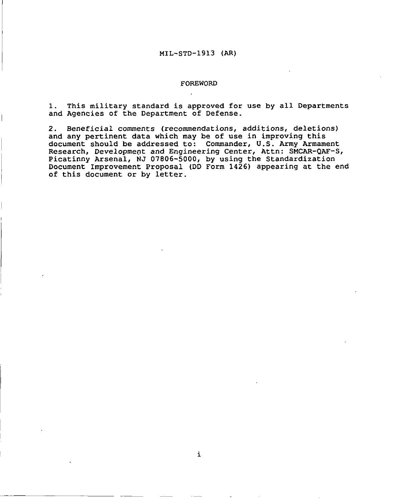#### MIL-STD-1913 (AR)

#### FOREWORD

1. This military standard is approved for use by all Departments and Agencies of the Department of Defense.

2. Beneficial comments (recommendations, additions, deletions) and any pertinent data which may be of use in improving this document should be addressed to: Commander, U.S. Army Armament Research, Development and Engineering Center, Attn: SMCAR-QAF-S, Picatinny Arsenal, NJ 07806-5000, by using the Standardization Document Improvement Proposal (DD Form 1426) appearing at the end of this document or by letter.

 $\overline{\phantom{a}}$ 

 $\parallel$ 

 $\parallel$ 

I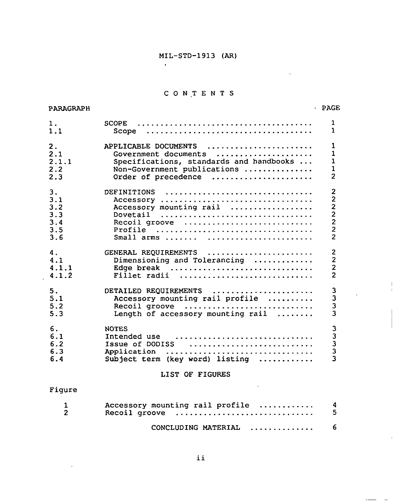# MIL–STD-1913 (AR)

### CONTE

 $\ddot{\phantom{a}}$ 

 $\frac{1}{1}$ 

 $\overline{1}$ 

**Summer Control** 

 $\ddot{\phantom{0}}$ 

| PARAGRAPH                                    |                                                                                                                                               | $·$ PAGE                                                                      |  |  |
|----------------------------------------------|-----------------------------------------------------------------------------------------------------------------------------------------------|-------------------------------------------------------------------------------|--|--|
| 1.<br>1.1                                    | <b>SCOPE</b><br>Scope $\ldots \ldots \ldots \ldots \ldots \ldots \ldots \ldots \ldots \ldots$                                                 | 1<br>1.                                                                       |  |  |
| 2.<br>2.1<br>2.1.1<br>2.2<br>2.3             | APPLICABLE DOCUMENTS<br>Government documents<br>Specifications, standards and handbooks<br>Non-Government publications<br>Order of precedence | ı<br>1<br>1<br>1<br>$\overline{2}$                                            |  |  |
| 3.<br>3.1<br>3.2<br>3.3<br>3.4<br>3.5<br>3.6 | DEFINITIONS<br>Accessory<br>Accessory mounting rail<br>Dovetail<br>Recoil groove<br>Profile                                                   | $\overline{2}$<br>$\overline{c}$<br>$222$<br>$22$<br>$\overline{2}$           |  |  |
| 4.<br>4.1<br>4.1.1<br>4.1.2                  | GENERAL REQUIREMENTS<br>Dimensioning and Tolerancing<br>Edge break<br>Fillet radii                                                            | $\overline{c}$<br>$\overline{c}$<br>$\overline{\mathbf{c}}$<br>$\overline{2}$ |  |  |
| 5.<br>5.1<br>5.2<br>5.3                      | DETAILED REQUIREMENTS<br>Accessory mounting rail profile<br>Recoil groove<br>Length of accessory mounting rail                                | 3<br>۔<br>3<br>$\overline{\mathbf{3}}$                                        |  |  |
| 6.<br>6.1<br>6.2<br>6.3<br>6.4               | <b>NOTES</b><br>Intended use<br>Issue of DODISS<br>Application<br>Subject term (key word) listing                                             | 3<br>$\begin{array}{c} 3 \\ 3 \\ 3 \end{array}$<br>$\overline{\mathbf{3}}$    |  |  |
| LIST OF FIGURES                              |                                                                                                                                               |                                                                               |  |  |
| Figure                                       |                                                                                                                                               |                                                                               |  |  |
| 1<br>$\overline{2}$                          | Accessory mounting rail profile<br>Recoil groove                                                                                              | 4<br>5                                                                        |  |  |

#### CONCLUDING MATERIAL .............. 6

 $\sim$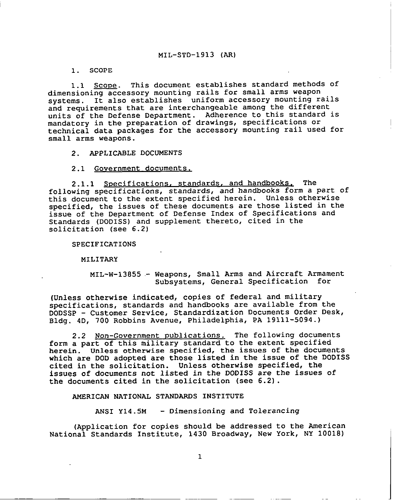1. SCOPE

1.1 Scope. This document establishes standard methods of dimensioning accessory mounting rails for small arms weapon systems. It also establishes uniform accessory mounting rails and requirements that are interchangeable among the different units of the Defense Department. Adherence to this standard is mandatory in the preparation of drawings, specifications or technical data packages for the accessory mounting rail used for small arms weapons.

2. APPLICABLE DOCUMENTS

2.1 Government documents.

2.1.1 Specifications, standards, and handbooks, The following specifications, standards, and handbooks form a part of this document to the extent specified herein. Unless otherwise specified, the issues of these documents are those listed in the issue of the Department of Defense Index of Specifications and Standards (DODISS) and supplement thereto, cited in the solicitation (see 6.2)

SPECIFICATIONS

MILITARY

MIL-W-13855 - Weapons, Small Arms and Aircraft Armament Subsystems, General Specification for

(Unless otherwise indicated, copies of federal and military specifications, standards and handbooks are available from the DODSSP - Customer Service, Standardization Documents Order Desk, Bldg. 4D, 700 Robbins Avenue, Philadelphia, PA 19111-5094.)

2.2 Non-Government publications. The following documents form a part of this military standard to the extent specified herein. Unless otherwise specified, the issues of the documents which are DOD adopted are those listed in the issue of the DODISS cited in the solicitation. Unless otherwise specified, the issues of documents not listed in the DODISS are the issues of the documents cited in the solicitation (see 6.2).

AMERICAN NATIONAL STANDARDS INSTITUTE

ANSI Y14.5M - Dimensioning and Tolerancing

(Application for copies should be addressed to the American National Standards Institute, 1430 Broadway, New York, NY 10018)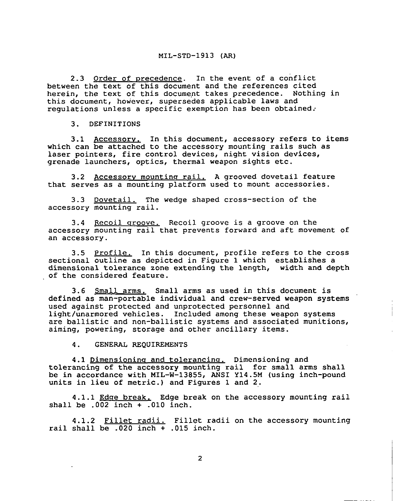#### MIL-STD–1913 (AR)

2.3 Order of precedence. In the event of a conflict between the text of this document and the references cited herein, the text of this document takes precedence. Nothing in this document, however, supersedes applicable laws and regulations unless a specific exemption has been obtained:

3. DEFINITIONS

3.1 Accessory. In this document, accessory refers to items which can be attached to the accessory mounting rails such as laser pointers, fire control devices, night vision devices, grenade launchers, optics, thermal weapon sights etc.

3.2 Accessory mountinq rail. A grooved dovetail feature that serves as a mounting platform used to mount accessories.

3.3 Dovetail. The wedge shaped cross-section of the accessory mounting rail.

3.4 Recoil groove. Recoil groove is a groove on the accessory mounting rail that prevents forward and aft movement of an accessory.

3.5 Profile. In this document, profile refers to the cross sectional outline as depicted in Figure 1 which establishes a dimensional tolerance zone extending the length, width and depth of the considered feature.

3.6 Small arms, Small arms as used in this document is defined as man-portable individual and crew-served weapon systems used against protected and unprotected personnel and light/unarmored vehicles. Included among these weapon systems are ballistic and non-ballistic systems and associated munitions, aiming, powering, storage and other ancillary items.

4. GENERAL REQUIREMENTS

4.1 Dimensioning and tolerancinq. Dimensioning and tolerancing of the accessory mounting rail for small arms shall be in accordance with MIL-w-13855, ANSI Y14.5M (using inch-pound units in lieu of metric.) and Figures 1 and 2,.

4.1.1 Edge break. Edge break on the accessory mounting rail shall be  $.002$  inch  $+$  .010 inch.

4.1.2 Fillet radii. Fillet radii on the accessory mounting rail shall be .020 inch + .015 inch.

2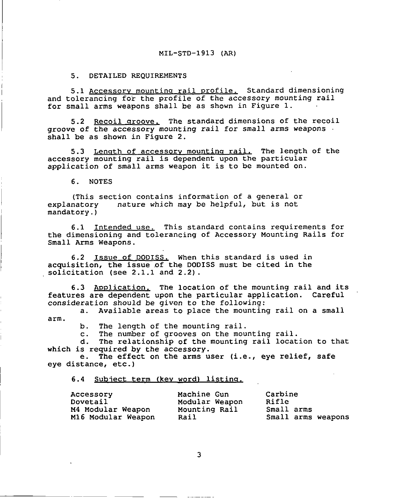#### MIL-STD-1913 (AR)

#### 5. DETAILED REQUIREMENTS

5.1 Accessory mounting rail profile. Standard dimensioning and tolerancing for the profile of the accessory mounting rail for small arms weapons shall be as shown in Figure 1.

5.2 Recoil qroove. The standard dimensions of the recoil groove of the accessory mounting rail for small arms weapons shall be as shown in Figure 2.

5.3 Lenqth of accessorv mountina rail. The length of the accessory mounting rail is dependent upon the particular application of Small arms weapon it is to be mounted on.

6. NOTES

i

(This section contains information of a general or explanatory and nature which may be helpful, but is not nature which may be helpful, but is not mandatory. )

6.1 Intended use. This standard contains requirements for the dimensioning and tolerancing of Accessory Mounting Rails for Small Arms Weapons.

6.2 Issue of DODISS. When this standard is used in acquisition, the issue of the DODISS must be cited in the solicitation (see 2.1.1 and 2.2) .

6.3 Application. The location of the mounting rail and its features are dependent upon the particular application. Careful consideration should be given to the following:

a. Available areas to place the mounting rail on a small arm.

b. The length of the mounting rail.

The number of grooves on the mounting rail.  $c_{\cdot}$ 

d. The relationship of the mounting rail location to that which is required by the accessory.

e. The effect on the arms user (i.e., eye relief, safe eye distance, etc.)

6.4 Subject term (key word) listing.

| Accessory          | Machine Gun    | Carbine            |
|--------------------|----------------|--------------------|
| Dovetail           | Modular Weapon | Rifle              |
| M4 Modular Weapon  | Mounting Rail  | Small arms         |
| M16 Modular Weapon | Rail           | Small arms weapons |

3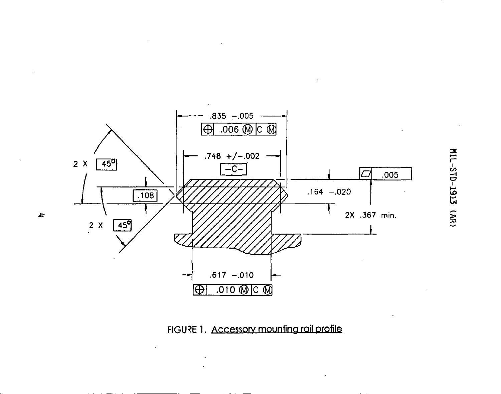

MIL-STD-1913 (AR)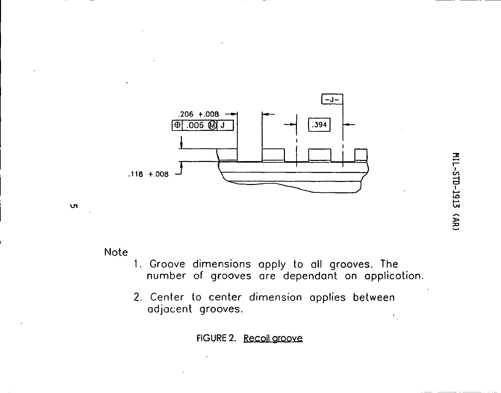

Note

**ហ** 

- 1. Groove dimensions apply to all grooves. The number of grooves are dependant on application.
- 2. Center to center dimension applies between adjacent grooves.

FIGURE 2. Recoil groove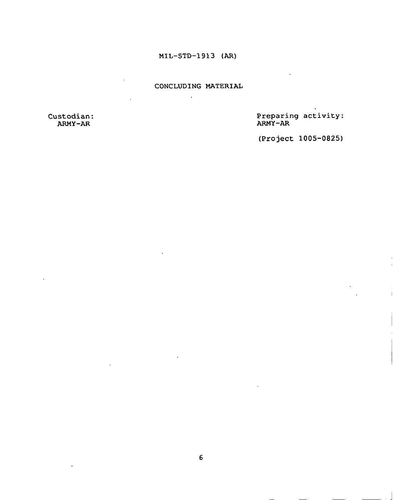### MIL-STD–1913 (AR)

### CONCLUDING MATERIAL

 $\ddot{\phantom{0}}$ 

Custodian: ARMY-AR

Preparing activity: ARMY-AR

(Project 1005-0825)